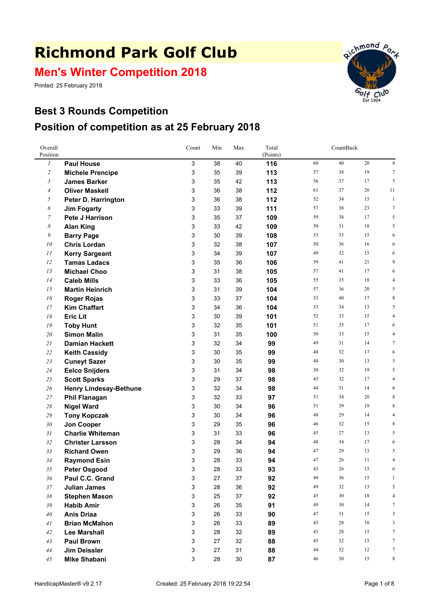# **Richmond Park Golf Club**

**Men's Winter Competition 2018**

Printed: 25 February 2018



### **Best 3 Rounds Competition Position of competition as at 25 February 2018**

| Overall<br>Position |                                          | Count  | Min      | Max      | Total<br>(Points) |          | CountBack |          |                  |
|---------------------|------------------------------------------|--------|----------|----------|-------------------|----------|-----------|----------|------------------|
| $\boldsymbol{l}$    | <b>Paul House</b>                        | 3      | 38       | 40       | 116               | 60       | 40        | 20       | $\,$ 8 $\,$      |
| $\overline{c}$      | <b>Michele Prencipe</b>                  | 3      | 35       | 39       | 113               | 57       | 38        | 19       | $\tau$           |
| 3                   | <b>James Barker</b>                      | 3      | 35       | 42       | 113               | 56       | 37        | 17       | 5                |
| $\overline{4}$      | <b>Oliver Maskell</b>                    | 3      | 36       | 38       | 112               | 61       | 37        | 20       | 11               |
| 5                   | Peter D. Harrington                      | 3      | 36       | 38       | 112               | 52       | 34        | 15       | $\mathbf{1}$     |
| 6                   | <b>Jim Fogarty</b>                       | 3      | 33       | 39       | 111               | 57       | 38        | 23       | $\boldsymbol{7}$ |
| $\overline{7}$      | Pete J Harrison                          | 3      | 35       | 37       | 109               | 59       | 38        | 17       | 5                |
| 8                   | <b>Alan King</b>                         | 3      | 33       | 42       | 109               | 50       | 31        | 18       | 5                |
| 9                   | <b>Barry Page</b>                        | 3      | 30       | 39       | 108               | 53       | 35        | 15       | 6                |
| 10                  | <b>Chris Lordan</b>                      | 3      | 32       | 38       | 107               | 50       | 36        | 16       | 6                |
| 11                  | <b>Kerry Sargeant</b>                    | 3      | 34       | 39       | 107               | 49       | 32        | 15       | 6                |
| 12                  | <b>Tamas Ladacs</b>                      | 3      | 35       | 36       | 106               | 59       | 41        | 21       | 9                |
| 13                  | <b>Michael Choo</b>                      | 3      | 31       | 38       | 105               | 57       | 41        | 17       | 6                |
| 14                  | <b>Caleb Mills</b>                       | 3      | 33       | 36       | 105               | 55       | 35        | 18       | 4                |
| 15                  | <b>Martin Heinrich</b>                   | 3      | 31       | 39       | 104               | 57       | 36        | 20       | 5                |
| 16                  | <b>Roger Rojas</b>                       | 3      | 33       | 37       | 104               | 53       | 40        | 17       | 8                |
| 17                  | <b>Kim Chaffart</b>                      | 3      | 34       | 36       | 104               | 53       | 34        | 13       | 5                |
| 18                  | <b>Eric Lit</b>                          | 3      | 30       | 39       | 101               | 52       | 33        | 15       | 4                |
| 19                  | <b>Toby Hunt</b>                         | 3      | 32       | 35       | 101               | 51       | 35        | 17       | 6                |
| 20                  | <b>Simon Malin</b>                       | 3      | 31       | 35       | 100               | 50       | 33        | 15       | 4                |
| 21                  | <b>Damian Hackett</b>                    | 3      | 32       | 34       | 99                | 49       | 31        | 14       | $\tau$           |
| 22                  | <b>Keith Cassidy</b>                     | 3      | 30       | 35       | 99                | 48       | 32        | 17       | 6                |
| 23                  | <b>Cuneyt Sazer</b>                      | 3      | 30       | 35       | 99                | 48       | 30        | 13       | 3                |
| 24                  | <b>Eelco Snijders</b>                    | 3      | 31       | 34       | 98                | 50       | 32        | 19       | 5                |
| 25                  | <b>Scott Sparks</b>                      | 3      | 29       | 37       | 98                | 45       | 32<br>31  | 17       | 4<br>6           |
| 26                  | <b>Henry Lindesay-Bethune</b>            | 3      | 32<br>32 | 34<br>33 | 98                | 44<br>51 | 34        | 14<br>20 | 8                |
| 27<br>28            | <b>Phil Flanagan</b>                     | 3<br>3 | 30       | 34       | 97<br>96          | 51       | 39        | 19       | 8                |
| 29                  | <b>Nigel Ward</b>                        | 3      | 30       | 34       | 96                | 48       | 29        | 14       | 4                |
| 30                  | <b>Tony Kopczak</b><br><b>Jon Cooper</b> | 3      | 29       | 35       | 96                | 46       | 32        | 15       | 8                |
| 31                  | <b>Charlie Whiteman</b>                  | 3      | 31       | 33       | 96                | 45       | 27        | 13       | 5                |
| 32                  | <b>Christer Larsson</b>                  | 3      | 28       | 34       | 94                | 48       | 34        | 17       | 6                |
| 33                  | <b>Richard Owen</b>                      | 3      | 29       | 36       | 94                | 47       | 29        | 13       | 5                |
| 34                  | <b>Raymond Esin</b>                      | 3      | 28       | 33       | 94                | 47       | 26        | 11       | 4                |
| 35                  | <b>Peter Osgood</b>                      | 3      | 28       | 33       | 93                | 43       | 26        | 15       | 6                |
| 36                  | Paul C.C. Grand                          | 3      | 27       | 37       | 92                | 49       | 36        | 15       | $\mathbf{1}$     |
| 37                  | <b>Julian James</b>                      | 3      | 28       | 36       | 92                | 49       | 32        | 13       | 5                |
| 38                  | <b>Stephen Mason</b>                     | 3      | 25       | 37       | 92                | 45       | 30        | $18\,$   | 4                |
| 39                  | <b>Habib Amir</b>                        | 3      | 26       | 35       | 91                | 49       | 30        | 14       | 7                |
| 40                  | <b>Anis Driaa</b>                        | 3      | 26       | 33       | 90                | 47       | 31        | 15       | 3                |
| 41                  | <b>Brian McMahon</b>                     | 3      | 26       | 33       | 89                | 45       | 28        | 10       | 3                |
| $42\,$              | <b>Lee Marshall</b>                      | 3      | 28       | 32       | 89                | 43       | 28        | 15       | $\tau$           |
| 43                  | <b>Paul Brown</b>                        | 3      | 27       | 32       | 88                | 45       | 32        | 15       | 7                |
| 44                  | Jim Deissler                             | 3      | 27       | 31       | 88                | 44       | 32        | 12       | $\tau$           |
| 45                  | <b>Mike Shabani</b>                      | 3      | 28       | $30\,$   | 87                | 46       | $30\,$    | 15       | 8                |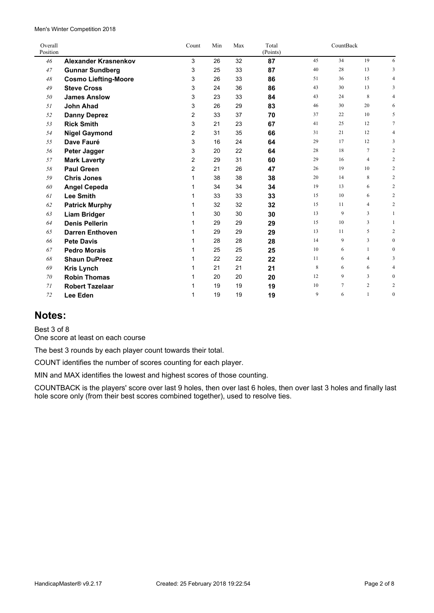$\overline{a}$ 

| Overall<br>Position |                             | Count          | Min | Max | Total<br>(Points) |    | CountBack |                |                  |
|---------------------|-----------------------------|----------------|-----|-----|-------------------|----|-----------|----------------|------------------|
| 46                  | <b>Alexander Krasnenkov</b> | 3              | 26  | 32  | 87                | 45 | 34        | 19             | 6                |
| 47                  | <b>Gunnar Sundberg</b>      | 3              | 25  | 33  | 87                | 40 | 28        | 13             | 3                |
| 48                  | <b>Cosmo Liefting-Moore</b> | 3              | 26  | 33  | 86                | 51 | 36        | 15             | 4                |
| 49                  | <b>Steve Cross</b>          | 3              | 24  | 36  | 86                | 43 | 30        | 13             | 3                |
| 50                  | <b>James Anslow</b>         | 3              | 23  | 33  | 84                | 43 | 24        | 8              | 4                |
| 51                  | <b>John Ahad</b>            | 3              | 26  | 29  | 83                | 46 | 30        | 20             | 6                |
| 52                  | <b>Danny Deprez</b>         | 2              | 33  | 37  | 70                | 37 | 22        | 10             | 5                |
| 53                  | <b>Rick Smith</b>           | 3              | 21  | 23  | 67                | 41 | 25        | 12             | $\overline{7}$   |
| 54                  | <b>Nigel Gaymond</b>        | 2              | 31  | 35  | 66                | 31 | 21        | 12             | 4                |
| 55                  | Dave Fauré                  | 3              | 16  | 24  | 64                | 29 | 17        | 12             | 3                |
| 56                  | Peter Jagger                | 3              | 20  | 22  | 64                | 28 | 18        | 7              | $\overline{c}$   |
| 57                  | <b>Mark Laverty</b>         | 2              | 29  | 31  | 60                | 29 | 16        | $\overline{4}$ | $\overline{c}$   |
| 58                  | <b>Paul Green</b>           | $\overline{2}$ | 21  | 26  | 47                | 26 | 19        | 10             | 2                |
| 59                  | <b>Chris Jones</b>          | 1              | 38  | 38  | 38                | 20 | 14        | 8              | $\overline{c}$   |
| 60                  | <b>Angel Cepeda</b>         | 1              | 34  | 34  | 34                | 19 | 13        | 6              | 2                |
| 61                  | <b>Lee Smith</b>            | 1              | 33  | 33  | 33                | 15 | 10        | 6              | $\overline{c}$   |
| 62                  | <b>Patrick Murphy</b>       | 1              | 32  | 32  | 32                | 15 | 11        | $\overline{4}$ | 2                |
| 63                  | <b>Liam Bridger</b>         | 1              | 30  | 30  | 30                | 13 | 9         | 3              | 1                |
| 64                  | <b>Denis Pellerin</b>       |                | 29  | 29  | 29                | 15 | 10        | 3              | $\mathbf{1}$     |
| 65                  | <b>Darren Enthoven</b>      | 1              | 29  | 29  | 29                | 13 | 11        | 5              | 2                |
| 66                  | <b>Pete Davis</b>           | 1              | 28  | 28  | 28                | 14 | 9         | 3              | $\boldsymbol{0}$ |
| 67                  | <b>Pedro Morais</b>         | 1              | 25  | 25  | 25                | 10 | 6         | $\mathbf{1}$   | $\boldsymbol{0}$ |
| 68                  | <b>Shaun DuPreez</b>        | 1              | 22  | 22  | 22                | 11 | 6         | $\overline{4}$ | 3                |
| 69                  | <b>Kris Lynch</b>           | 1              | 21  | 21  | 21                | 8  | 6         | 6              | 4                |
| 70                  | <b>Robin Thomas</b>         |                | 20  | 20  | 20                | 12 | 9         | 3              | $\mathbf{0}$     |
| 71                  | <b>Robert Tazelaar</b>      |                | 19  | 19  | 19                | 10 | 7         | $\overline{2}$ | $\overline{c}$   |
| 72                  | Lee Eden                    | 1              | 19  | 19  | 19                | 9  | 6         | $\mathbf{1}$   | $\boldsymbol{0}$ |

#### **Notes:**

Best 3 of 8

One score at least on each course

The best 3 rounds by each player count towards their total.

COUNT identifies the number of scores counting for each player.

MIN and MAX identifies the lowest and highest scores of those counting.

COUNTBACK is the players' score over last 9 holes, then over last 6 holes, then over last 3 holes and finally last hole score only (from their best scores combined together), used to resolve ties.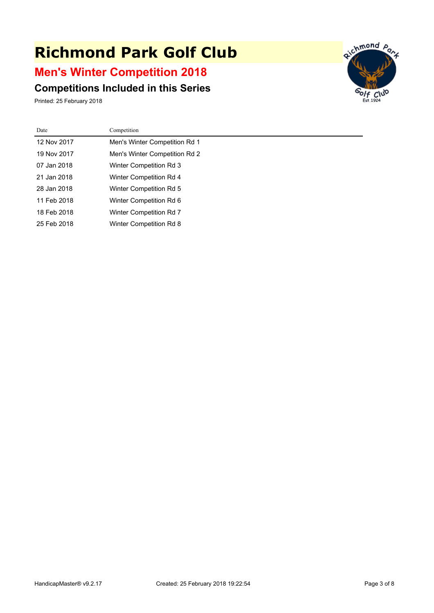# **Richmond Park Golf Club**

### **Men's Winter Competition 2018**

#### **Competitions Included in this Series**

Printed: 25 February 2018



| Date        | Competition                    |
|-------------|--------------------------------|
| 12 Nov 2017 | Men's Winter Competition Rd 1  |
| 19 Nov 2017 | Men's Winter Competition Rd 2  |
| 07 Jan 2018 | <b>Winter Competition Rd 3</b> |
| 21 Jan 2018 | <b>Winter Competition Rd 4</b> |
| 28 Jan 2018 | <b>Winter Competition Rd 5</b> |
| 11 Feb 2018 | Winter Competition Rd 6        |
| 18 Feb 2018 | <b>Winter Competition Rd 7</b> |
| 25 Feb 2018 | <b>Winter Competition Rd 8</b> |
|             |                                |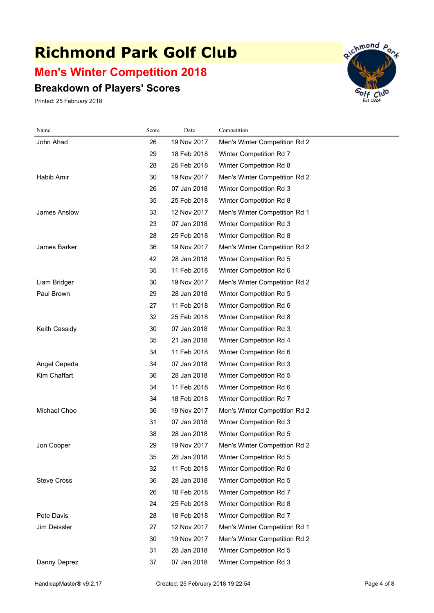## **Richmond Park Golf Club**

### **Men's Winter Competition 2018**

#### **Breakdown of Players' Scores**

Printed: 25 February 2018



| Name               | Score | Date        | Competition                   |
|--------------------|-------|-------------|-------------------------------|
| John Ahad          | 26    | 19 Nov 2017 | Men's Winter Competition Rd 2 |
|                    | 29    | 18 Feb 2018 | Winter Competition Rd 7       |
|                    | 28    | 25 Feb 2018 | Winter Competition Rd 8       |
| Habib Amir         | 30    | 19 Nov 2017 | Men's Winter Competition Rd 2 |
|                    | 26    | 07 Jan 2018 | Winter Competition Rd 3       |
|                    | 35    | 25 Feb 2018 | Winter Competition Rd 8       |
| James Anslow       | 33    | 12 Nov 2017 | Men's Winter Competition Rd 1 |
|                    | 23    | 07 Jan 2018 | Winter Competition Rd 3       |
|                    | 28    | 25 Feb 2018 | Winter Competition Rd 8       |
| James Barker       | 36    | 19 Nov 2017 | Men's Winter Competition Rd 2 |
|                    | 42    | 28 Jan 2018 | Winter Competition Rd 5       |
|                    | 35    | 11 Feb 2018 | Winter Competition Rd 6       |
| Liam Bridger       | 30    | 19 Nov 2017 | Men's Winter Competition Rd 2 |
| Paul Brown         | 29    | 28 Jan 2018 | Winter Competition Rd 5       |
|                    | 27    | 11 Feb 2018 | Winter Competition Rd 6       |
|                    | 32    | 25 Feb 2018 | Winter Competition Rd 8       |
| Keith Cassidy      | 30    | 07 Jan 2018 | Winter Competition Rd 3       |
|                    | 35    | 21 Jan 2018 | Winter Competition Rd 4       |
|                    | 34    | 11 Feb 2018 | Winter Competition Rd 6       |
| Angel Cepeda       | 34    | 07 Jan 2018 | Winter Competition Rd 3       |
| Kim Chaffart       | 36    | 28 Jan 2018 | Winter Competition Rd 5       |
|                    | 34    | 11 Feb 2018 | Winter Competition Rd 6       |
|                    | 34    | 18 Feb 2018 | Winter Competition Rd 7       |
| Michael Choo       | 36    | 19 Nov 2017 | Men's Winter Competition Rd 2 |
|                    | 31    | 07 Jan 2018 | Winter Competition Rd 3       |
|                    | 38    | 28 Jan 2018 | Winter Competition Rd 5       |
| Jon Cooper         | 29    | 19 Nov 2017 | Men's Winter Competition Rd 2 |
|                    | 35    | 28 Jan 2018 | Winter Competition Rd 5       |
|                    | 32    | 11 Feb 2018 | Winter Competition Rd 6       |
| <b>Steve Cross</b> | 36    | 28 Jan 2018 | Winter Competition Rd 5       |
|                    | 26    | 18 Feb 2018 | Winter Competition Rd 7       |
|                    | 24    | 25 Feb 2018 | Winter Competition Rd 8       |
| Pete Davis         | 28    | 18 Feb 2018 | Winter Competition Rd 7       |
| Jim Deissler       | 27    | 12 Nov 2017 | Men's Winter Competition Rd 1 |
|                    | 30    | 19 Nov 2017 | Men's Winter Competition Rd 2 |
|                    | 31    | 28 Jan 2018 | Winter Competition Rd 5       |
| Danny Deprez       | 37    | 07 Jan 2018 | Winter Competition Rd 3       |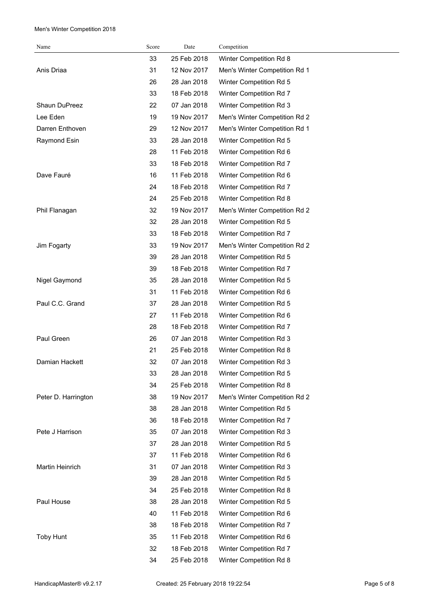| Name                | Score | Date        | Competition                   |
|---------------------|-------|-------------|-------------------------------|
|                     | 33    | 25 Feb 2018 | Winter Competition Rd 8       |
| Anis Driaa          | 31    | 12 Nov 2017 | Men's Winter Competition Rd 1 |
|                     | 26    | 28 Jan 2018 | Winter Competition Rd 5       |
|                     | 33    | 18 Feb 2018 | Winter Competition Rd 7       |
| Shaun DuPreez       | 22    | 07 Jan 2018 | Winter Competition Rd 3       |
| Lee Eden            | 19    | 19 Nov 2017 | Men's Winter Competition Rd 2 |
| Darren Enthoven     | 29    | 12 Nov 2017 | Men's Winter Competition Rd 1 |
| Raymond Esin        | 33    | 28 Jan 2018 | Winter Competition Rd 5       |
|                     | 28    | 11 Feb 2018 | Winter Competition Rd 6       |
|                     | 33    | 18 Feb 2018 | Winter Competition Rd 7       |
| Dave Fauré          | 16    | 11 Feb 2018 | Winter Competition Rd 6       |
|                     | 24    | 18 Feb 2018 | Winter Competition Rd 7       |
|                     | 24    | 25 Feb 2018 | Winter Competition Rd 8       |
| Phil Flanagan       | 32    | 19 Nov 2017 | Men's Winter Competition Rd 2 |
|                     | 32    | 28 Jan 2018 | Winter Competition Rd 5       |
|                     | 33    | 18 Feb 2018 | Winter Competition Rd 7       |
| Jim Fogarty         | 33    | 19 Nov 2017 | Men's Winter Competition Rd 2 |
|                     | 39    | 28 Jan 2018 | Winter Competition Rd 5       |
|                     | 39    | 18 Feb 2018 | Winter Competition Rd 7       |
| Nigel Gaymond       | 35    | 28 Jan 2018 | Winter Competition Rd 5       |
|                     | 31    | 11 Feb 2018 | Winter Competition Rd 6       |
| Paul C.C. Grand     | 37    | 28 Jan 2018 | Winter Competition Rd 5       |
|                     | 27    | 11 Feb 2018 | Winter Competition Rd 6       |
|                     | 28    | 18 Feb 2018 | Winter Competition Rd 7       |
| Paul Green          | 26    | 07 Jan 2018 | Winter Competition Rd 3       |
|                     | 21    | 25 Feb 2018 | Winter Competition Rd 8       |
| Damian Hackett      | 32    | 07 Jan 2018 | Winter Competition Rd 3       |
|                     | 33    | 28 Jan 2018 | Winter Competition Rd 5       |
|                     | 34    | 25 Feb 2018 | Winter Competition Rd 8       |
| Peter D. Harrington | 38    | 19 Nov 2017 | Men's Winter Competition Rd 2 |
|                     | 38    | 28 Jan 2018 | Winter Competition Rd 5       |
|                     | 36    | 18 Feb 2018 | Winter Competition Rd 7       |
| Pete J Harrison     | 35    | 07 Jan 2018 | Winter Competition Rd 3       |
|                     | 37    | 28 Jan 2018 | Winter Competition Rd 5       |
|                     | 37    | 11 Feb 2018 | Winter Competition Rd 6       |
| Martin Heinrich     | 31    | 07 Jan 2018 | Winter Competition Rd 3       |
|                     | 39    | 28 Jan 2018 | Winter Competition Rd 5       |
|                     | 34    | 25 Feb 2018 | Winter Competition Rd 8       |
| Paul House          | 38    | 28 Jan 2018 | Winter Competition Rd 5       |
|                     | 40    | 11 Feb 2018 | Winter Competition Rd 6       |
|                     | 38    | 18 Feb 2018 | Winter Competition Rd 7       |
| <b>Toby Hunt</b>    | 35    | 11 Feb 2018 | Winter Competition Rd 6       |
|                     | 32    | 18 Feb 2018 | Winter Competition Rd 7       |
|                     | 34    | 25 Feb 2018 | Winter Competition Rd 8       |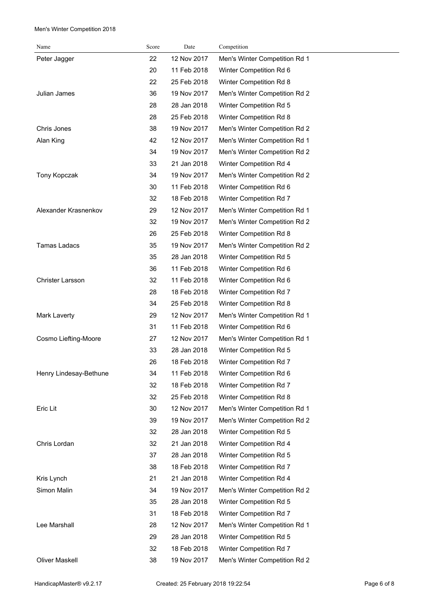| Name                   | Score | Date        | Competition                   |
|------------------------|-------|-------------|-------------------------------|
| Peter Jagger           | 22    | 12 Nov 2017 | Men's Winter Competition Rd 1 |
|                        | 20    | 11 Feb 2018 | Winter Competition Rd 6       |
|                        | 22    | 25 Feb 2018 | Winter Competition Rd 8       |
| Julian James           | 36    | 19 Nov 2017 | Men's Winter Competition Rd 2 |
|                        | 28    | 28 Jan 2018 | Winter Competition Rd 5       |
|                        | 28    | 25 Feb 2018 | Winter Competition Rd 8       |
| Chris Jones            | 38    | 19 Nov 2017 | Men's Winter Competition Rd 2 |
| Alan King              | 42    | 12 Nov 2017 | Men's Winter Competition Rd 1 |
|                        | 34    | 19 Nov 2017 | Men's Winter Competition Rd 2 |
|                        | 33    | 21 Jan 2018 | Winter Competition Rd 4       |
| Tony Kopczak           | 34    | 19 Nov 2017 | Men's Winter Competition Rd 2 |
|                        | 30    | 11 Feb 2018 | Winter Competition Rd 6       |
|                        | 32    | 18 Feb 2018 | Winter Competition Rd 7       |
| Alexander Krasnenkov   | 29    | 12 Nov 2017 | Men's Winter Competition Rd 1 |
|                        | 32    | 19 Nov 2017 | Men's Winter Competition Rd 2 |
|                        | 26    | 25 Feb 2018 | Winter Competition Rd 8       |
| <b>Tamas Ladacs</b>    | 35    | 19 Nov 2017 | Men's Winter Competition Rd 2 |
|                        | 35    | 28 Jan 2018 | Winter Competition Rd 5       |
|                        | 36    | 11 Feb 2018 | Winter Competition Rd 6       |
| Christer Larsson       | 32    | 11 Feb 2018 | Winter Competition Rd 6       |
|                        | 28    | 18 Feb 2018 | Winter Competition Rd 7       |
|                        | 34    | 25 Feb 2018 | Winter Competition Rd 8       |
| Mark Laverty           | 29    | 12 Nov 2017 | Men's Winter Competition Rd 1 |
|                        | 31    | 11 Feb 2018 | Winter Competition Rd 6       |
| Cosmo Liefting-Moore   | 27    | 12 Nov 2017 | Men's Winter Competition Rd 1 |
|                        | 33    | 28 Jan 2018 | Winter Competition Rd 5       |
|                        | 26    | 18 Feb 2018 | Winter Competition Rd 7       |
| Henry Lindesay-Bethune | 34    | 11 Feb 2018 | Winter Competition Rd 6       |
|                        | 32    | 18 Feb 2018 | Winter Competition Rd 7       |
|                        | 32    | 25 Feb 2018 | Winter Competition Rd 8       |
| Eric Lit               | 30    | 12 Nov 2017 | Men's Winter Competition Rd 1 |
|                        | 39    | 19 Nov 2017 | Men's Winter Competition Rd 2 |
|                        | 32    | 28 Jan 2018 | Winter Competition Rd 5       |
| Chris Lordan           | 32    | 21 Jan 2018 | Winter Competition Rd 4       |
|                        | 37    | 28 Jan 2018 | Winter Competition Rd 5       |
|                        | 38    | 18 Feb 2018 | Winter Competition Rd 7       |
| Kris Lynch             | 21    | 21 Jan 2018 | Winter Competition Rd 4       |
| Simon Malin            | 34    | 19 Nov 2017 | Men's Winter Competition Rd 2 |
|                        | 35    | 28 Jan 2018 | Winter Competition Rd 5       |
|                        | 31    | 18 Feb 2018 | Winter Competition Rd 7       |
| Lee Marshall           | 28    | 12 Nov 2017 | Men's Winter Competition Rd 1 |
|                        | 29    | 28 Jan 2018 | Winter Competition Rd 5       |
|                        | 32    | 18 Feb 2018 | Winter Competition Rd 7       |
| <b>Oliver Maskell</b>  | 38    | 19 Nov 2017 | Men's Winter Competition Rd 2 |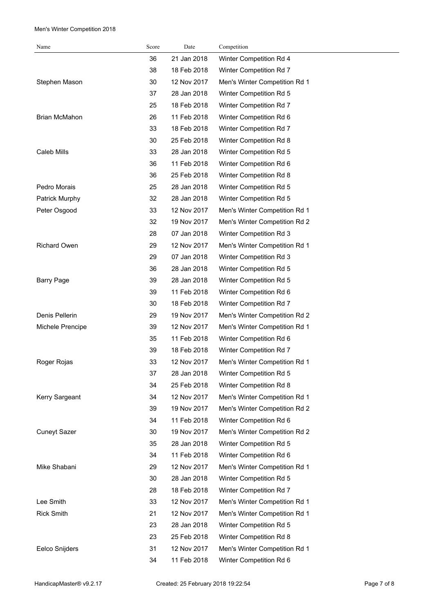| Name                 | Score | Date        | Competition                   |
|----------------------|-------|-------------|-------------------------------|
|                      | 36    | 21 Jan 2018 | Winter Competition Rd 4       |
|                      | 38    | 18 Feb 2018 | Winter Competition Rd 7       |
| Stephen Mason        | 30    | 12 Nov 2017 | Men's Winter Competition Rd 1 |
|                      | 37    | 28 Jan 2018 | Winter Competition Rd 5       |
|                      | 25    | 18 Feb 2018 | Winter Competition Rd 7       |
| <b>Brian McMahon</b> | 26    | 11 Feb 2018 | Winter Competition Rd 6       |
|                      | 33    | 18 Feb 2018 | Winter Competition Rd 7       |
|                      | 30    | 25 Feb 2018 | Winter Competition Rd 8       |
| Caleb Mills          | 33    | 28 Jan 2018 | Winter Competition Rd 5       |
|                      | 36    | 11 Feb 2018 | Winter Competition Rd 6       |
|                      | 36    | 25 Feb 2018 | Winter Competition Rd 8       |
| Pedro Morais         | 25    | 28 Jan 2018 | Winter Competition Rd 5       |
| Patrick Murphy       | 32    | 28 Jan 2018 | Winter Competition Rd 5       |
| Peter Osgood         | 33    | 12 Nov 2017 | Men's Winter Competition Rd 1 |
|                      | 32    | 19 Nov 2017 | Men's Winter Competition Rd 2 |
|                      | 28    | 07 Jan 2018 | Winter Competition Rd 3       |
| <b>Richard Owen</b>  | 29    | 12 Nov 2017 | Men's Winter Competition Rd 1 |
|                      | 29    | 07 Jan 2018 | Winter Competition Rd 3       |
|                      | 36    | 28 Jan 2018 | Winter Competition Rd 5       |
| <b>Barry Page</b>    | 39    | 28 Jan 2018 | Winter Competition Rd 5       |
|                      | 39    | 11 Feb 2018 | Winter Competition Rd 6       |
|                      | 30    | 18 Feb 2018 | Winter Competition Rd 7       |
| Denis Pellerin       | 29    | 19 Nov 2017 | Men's Winter Competition Rd 2 |
| Michele Prencipe     | 39    | 12 Nov 2017 | Men's Winter Competition Rd 1 |
|                      | 35    | 11 Feb 2018 | Winter Competition Rd 6       |
|                      | 39    | 18 Feb 2018 | Winter Competition Rd 7       |
| Roger Rojas          | 33    | 12 Nov 2017 | Men's Winter Competition Rd 1 |
|                      | 37    | 28 Jan 2018 | Winter Competition Rd 5       |
|                      | 34    | 25 Feb 2018 | Winter Competition Rd 8       |
| Kerry Sargeant       | 34    | 12 Nov 2017 | Men's Winter Competition Rd 1 |
|                      | 39    | 19 Nov 2017 | Men's Winter Competition Rd 2 |
|                      | 34    | 11 Feb 2018 | Winter Competition Rd 6       |
| <b>Cuneyt Sazer</b>  | 30    | 19 Nov 2017 | Men's Winter Competition Rd 2 |
|                      | 35    | 28 Jan 2018 | Winter Competition Rd 5       |
|                      | 34    | 11 Feb 2018 | Winter Competition Rd 6       |
| Mike Shabani         | 29    | 12 Nov 2017 | Men's Winter Competition Rd 1 |
|                      | 30    | 28 Jan 2018 | Winter Competition Rd 5       |
|                      | 28    | 18 Feb 2018 | Winter Competition Rd 7       |
| Lee Smith            | 33    | 12 Nov 2017 | Men's Winter Competition Rd 1 |
| <b>Rick Smith</b>    | 21    | 12 Nov 2017 | Men's Winter Competition Rd 1 |
|                      | 23    | 28 Jan 2018 | Winter Competition Rd 5       |
|                      | 23    | 25 Feb 2018 | Winter Competition Rd 8       |
| Eelco Snijders       | 31    | 12 Nov 2017 | Men's Winter Competition Rd 1 |
|                      | 34    | 11 Feb 2018 | Winter Competition Rd 6       |